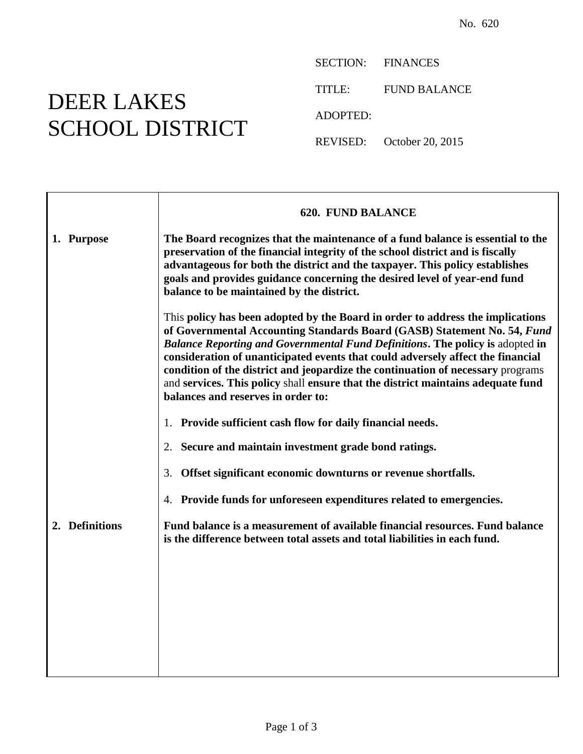## DEER LAKES SCHOOL DISTRICT

 $\Gamma$ 

SECTION: FINANCES TITLE: FUND BALANCE ADOPTED: REVISED: October 20, 2015

|                | <b>620. FUND BALANCE</b>                                                                                                                                                                                                                                                                                                                                                                                                                                                                                                                           |
|----------------|----------------------------------------------------------------------------------------------------------------------------------------------------------------------------------------------------------------------------------------------------------------------------------------------------------------------------------------------------------------------------------------------------------------------------------------------------------------------------------------------------------------------------------------------------|
| 1. Purpose     | The Board recognizes that the maintenance of a fund balance is essential to the<br>preservation of the financial integrity of the school district and is fiscally<br>advantageous for both the district and the taxpayer. This policy establishes<br>goals and provides guidance concerning the desired level of year-end fund<br>balance to be maintained by the district.                                                                                                                                                                        |
|                | This policy has been adopted by the Board in order to address the implications<br>of Governmental Accounting Standards Board (GASB) Statement No. 54, Fund<br><b>Balance Reporting and Governmental Fund Definitions. The policy is adopted in</b><br>consideration of unanticipated events that could adversely affect the financial<br>condition of the district and jeopardize the continuation of necessary programs<br>and services. This policy shall ensure that the district maintains adequate fund<br>balances and reserves in order to: |
|                | Provide sufficient cash flow for daily financial needs.<br>1.                                                                                                                                                                                                                                                                                                                                                                                                                                                                                      |
|                | Secure and maintain investment grade bond ratings.<br>2.                                                                                                                                                                                                                                                                                                                                                                                                                                                                                           |
|                | Offset significant economic downturns or revenue shortfalls.<br>3.                                                                                                                                                                                                                                                                                                                                                                                                                                                                                 |
|                | Provide funds for unforeseen expenditures related to emergencies.<br>4.                                                                                                                                                                                                                                                                                                                                                                                                                                                                            |
| 2. Definitions | Fund balance is a measurement of available financial resources. Fund balance<br>is the difference between total assets and total liabilities in each fund.                                                                                                                                                                                                                                                                                                                                                                                         |
|                |                                                                                                                                                                                                                                                                                                                                                                                                                                                                                                                                                    |
|                |                                                                                                                                                                                                                                                                                                                                                                                                                                                                                                                                                    |
|                |                                                                                                                                                                                                                                                                                                                                                                                                                                                                                                                                                    |
|                |                                                                                                                                                                                                                                                                                                                                                                                                                                                                                                                                                    |
|                |                                                                                                                                                                                                                                                                                                                                                                                                                                                                                                                                                    |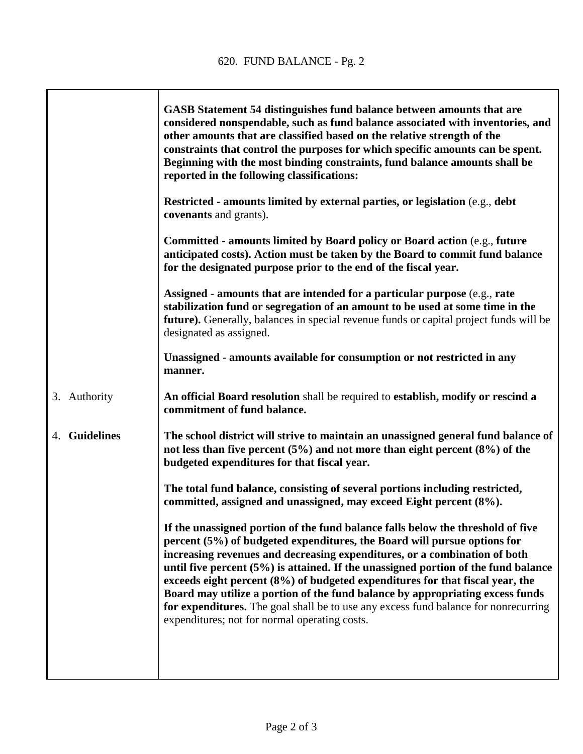|                         | GASB Statement 54 distinguishes fund balance between amounts that are<br>considered nonspendable, such as fund balance associated with inventories, and<br>other amounts that are classified based on the relative strength of the<br>constraints that control the purposes for which specific amounts can be spent.<br>Beginning with the most binding constraints, fund balance amounts shall be<br>reported in the following classifications:                                                                                                                                                                                         |
|-------------------------|------------------------------------------------------------------------------------------------------------------------------------------------------------------------------------------------------------------------------------------------------------------------------------------------------------------------------------------------------------------------------------------------------------------------------------------------------------------------------------------------------------------------------------------------------------------------------------------------------------------------------------------|
|                         | <b>Restricted - amounts limited by external parties, or legislation</b> (e.g., debt<br>covenants and grants).                                                                                                                                                                                                                                                                                                                                                                                                                                                                                                                            |
|                         | Committed - amounts limited by Board policy or Board action (e.g., future<br>anticipated costs). Action must be taken by the Board to commit fund balance<br>for the designated purpose prior to the end of the fiscal year.                                                                                                                                                                                                                                                                                                                                                                                                             |
|                         | Assigned - amounts that are intended for a particular purpose (e.g., rate<br>stabilization fund or segregation of an amount to be used at some time in the<br>future). Generally, balances in special revenue funds or capital project funds will be<br>designated as assigned.                                                                                                                                                                                                                                                                                                                                                          |
|                         | Unassigned - amounts available for consumption or not restricted in any<br>manner.                                                                                                                                                                                                                                                                                                                                                                                                                                                                                                                                                       |
| 3. Authority            | An official Board resolution shall be required to establish, modify or rescind a<br>commitment of fund balance.                                                                                                                                                                                                                                                                                                                                                                                                                                                                                                                          |
| <b>Guidelines</b><br>4. | The school district will strive to maintain an unassigned general fund balance of<br>not less than five percent $(5%)$ and not more than eight percent $(8%)$ of the<br>budgeted expenditures for that fiscal year.                                                                                                                                                                                                                                                                                                                                                                                                                      |
|                         | The total fund balance, consisting of several portions including restricted,<br>committed, assigned and unassigned, may exceed Eight percent (8%).                                                                                                                                                                                                                                                                                                                                                                                                                                                                                       |
|                         | If the unassigned portion of the fund balance falls below the threshold of five<br>percent (5%) of budgeted expenditures, the Board will pursue options for<br>increasing revenues and decreasing expenditures, or a combination of both<br>until five percent (5%) is attained. If the unassigned portion of the fund balance<br>exceeds eight percent (8%) of budgeted expenditures for that fiscal year, the<br>Board may utilize a portion of the fund balance by appropriating excess funds<br>for expenditures. The goal shall be to use any excess fund balance for nonrecurring<br>expenditures; not for normal operating costs. |
|                         |                                                                                                                                                                                                                                                                                                                                                                                                                                                                                                                                                                                                                                          |